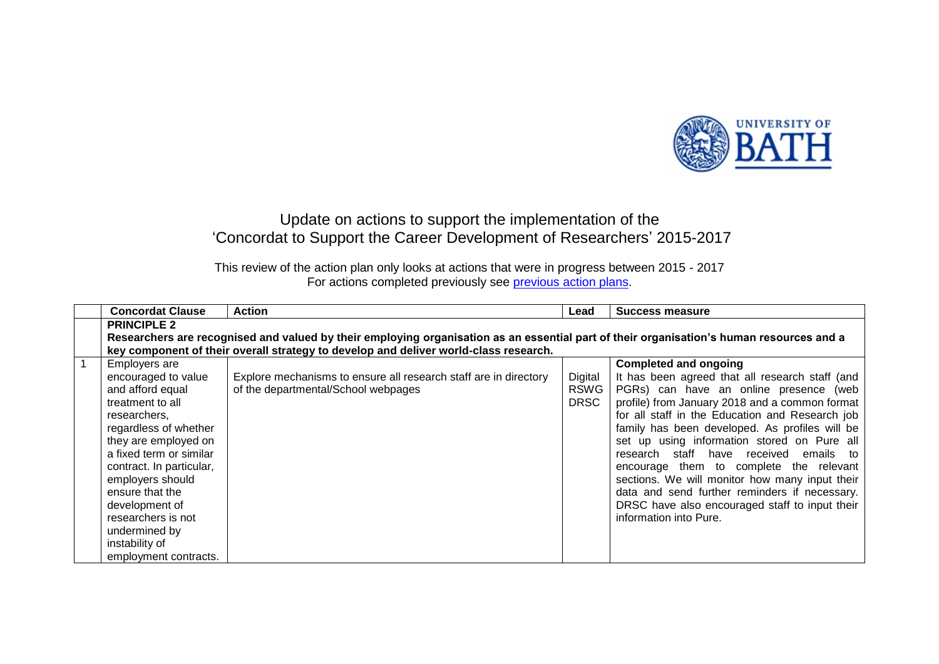

## Update on actions to support the implementation of the 'Concordat to Support the Career Development of Researchers' 2015-2017

This review of the action plan only looks at actions that were in progress between 2015 - 2017 For actions completed previously see **previous action plans**.

|                | <b>Concordat Clause</b>                                                                                                                  | <b>Action</b>                                                                        | Lead        | Success measure                                 |  |  |  |
|----------------|------------------------------------------------------------------------------------------------------------------------------------------|--------------------------------------------------------------------------------------|-------------|-------------------------------------------------|--|--|--|
|                | <b>PRINCIPLE 2</b>                                                                                                                       |                                                                                      |             |                                                 |  |  |  |
|                | Researchers are recognised and valued by their employing organisation as an essential part of their organisation's human resources and a |                                                                                      |             |                                                 |  |  |  |
|                |                                                                                                                                          | key component of their overall strategy to develop and deliver world-class research. |             |                                                 |  |  |  |
| $\overline{1}$ | Employers are                                                                                                                            |                                                                                      |             | <b>Completed and ongoing</b>                    |  |  |  |
|                | encouraged to value                                                                                                                      | Explore mechanisms to ensure all research staff are in directory                     | Digital     | It has been agreed that all research staff (and |  |  |  |
|                | and afford equal                                                                                                                         | of the departmental/School webpages                                                  | <b>RSWG</b> | PGRs) can have an online presence (web          |  |  |  |
|                | treatment to all                                                                                                                         |                                                                                      | <b>DRSC</b> | profile) from January 2018 and a common format  |  |  |  |
|                | researchers.                                                                                                                             |                                                                                      |             | for all staff in the Education and Research job |  |  |  |
|                | regardless of whether                                                                                                                    |                                                                                      |             | family has been developed. As profiles will be  |  |  |  |
|                | they are employed on                                                                                                                     |                                                                                      |             | set up using information stored on Pure all     |  |  |  |
|                | a fixed term or similar                                                                                                                  |                                                                                      |             | research staff have received<br>emails to       |  |  |  |
|                | contract. In particular,                                                                                                                 |                                                                                      |             | encourage them to complete the relevant         |  |  |  |
|                | employers should                                                                                                                         |                                                                                      |             | sections. We will monitor how many input their  |  |  |  |
|                | ensure that the                                                                                                                          |                                                                                      |             | data and send further reminders if necessary.   |  |  |  |
|                | development of                                                                                                                           |                                                                                      |             | DRSC have also encouraged staff to input their  |  |  |  |
|                | researchers is not                                                                                                                       |                                                                                      |             | information into Pure.                          |  |  |  |
|                | undermined by                                                                                                                            |                                                                                      |             |                                                 |  |  |  |
|                | instability of                                                                                                                           |                                                                                      |             |                                                 |  |  |  |
|                | employment contracts.                                                                                                                    |                                                                                      |             |                                                 |  |  |  |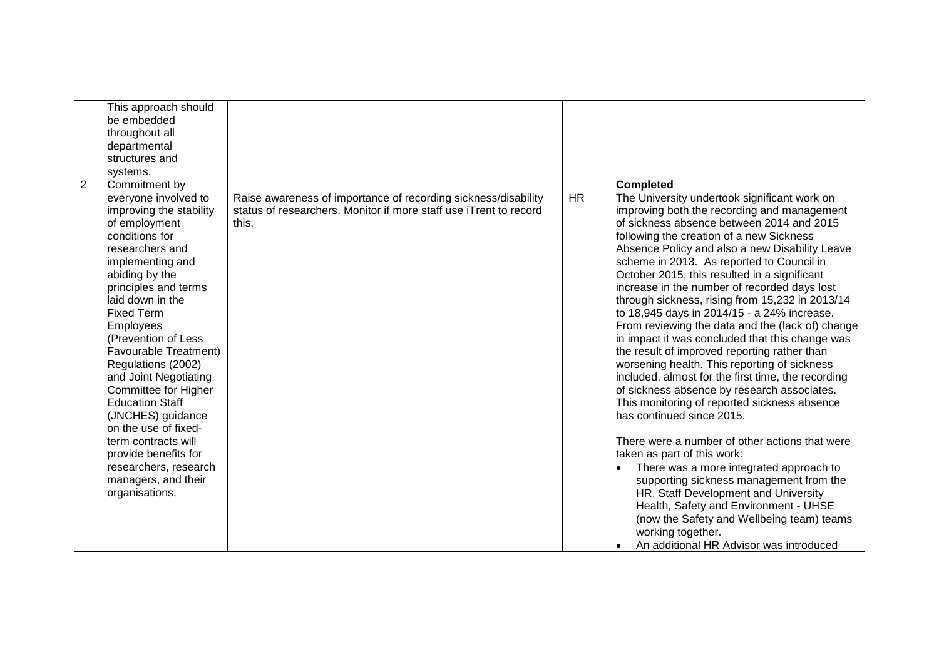| This approach should<br>be embedded<br>throughout all<br>departmental<br>structures and<br>systems.                                                                                                                                                                                                                                                                                                                                                                                                                                                                         |                                                                                                                                              |           |                                                                                                                                                                                                                                                                                                                                                                                                                                                                                                                                                                                                                                                                                                                                                                                                                                                                                                                                                                                                                                                                                                                                                                                                                                                                         |
|-----------------------------------------------------------------------------------------------------------------------------------------------------------------------------------------------------------------------------------------------------------------------------------------------------------------------------------------------------------------------------------------------------------------------------------------------------------------------------------------------------------------------------------------------------------------------------|----------------------------------------------------------------------------------------------------------------------------------------------|-----------|-------------------------------------------------------------------------------------------------------------------------------------------------------------------------------------------------------------------------------------------------------------------------------------------------------------------------------------------------------------------------------------------------------------------------------------------------------------------------------------------------------------------------------------------------------------------------------------------------------------------------------------------------------------------------------------------------------------------------------------------------------------------------------------------------------------------------------------------------------------------------------------------------------------------------------------------------------------------------------------------------------------------------------------------------------------------------------------------------------------------------------------------------------------------------------------------------------------------------------------------------------------------------|
| $\overline{2}$<br>Commitment by<br>everyone involved to<br>improving the stability<br>of employment<br>conditions for<br>researchers and<br>implementing and<br>abiding by the<br>principles and terms<br>laid down in the<br><b>Fixed Term</b><br>Employees<br>(Prevention of Less<br>Favourable Treatment)<br>Regulations (2002)<br>and Joint Negotiating<br>Committee for Higher<br><b>Education Staff</b><br>(JNCHES) guidance<br>on the use of fixed-<br>term contracts will<br>provide benefits for<br>researchers, research<br>managers, and their<br>organisations. | Raise awareness of importance of recording sickness/disability<br>status of researchers. Monitor if more staff use iTrent to record<br>this. | <b>HR</b> | <b>Completed</b><br>The University undertook significant work on<br>improving both the recording and management<br>of sickness absence between 2014 and 2015<br>following the creation of a new Sickness<br>Absence Policy and also a new Disability Leave<br>scheme in 2013. As reported to Council in<br>October 2015, this resulted in a significant<br>increase in the number of recorded days lost<br>through sickness, rising from 15,232 in 2013/14<br>to 18,945 days in 2014/15 - a 24% increase.<br>From reviewing the data and the (lack of) change<br>in impact it was concluded that this change was<br>the result of improved reporting rather than<br>worsening health. This reporting of sickness<br>included, almost for the first time, the recording<br>of sickness absence by research associates.<br>This monitoring of reported sickness absence<br>has continued since 2015.<br>There were a number of other actions that were<br>taken as part of this work:<br>There was a more integrated approach to<br>supporting sickness management from the<br>HR, Staff Development and University<br>Health, Safety and Environment - UHSE<br>(now the Safety and Wellbeing team) teams<br>working together.<br>An additional HR Advisor was introduced |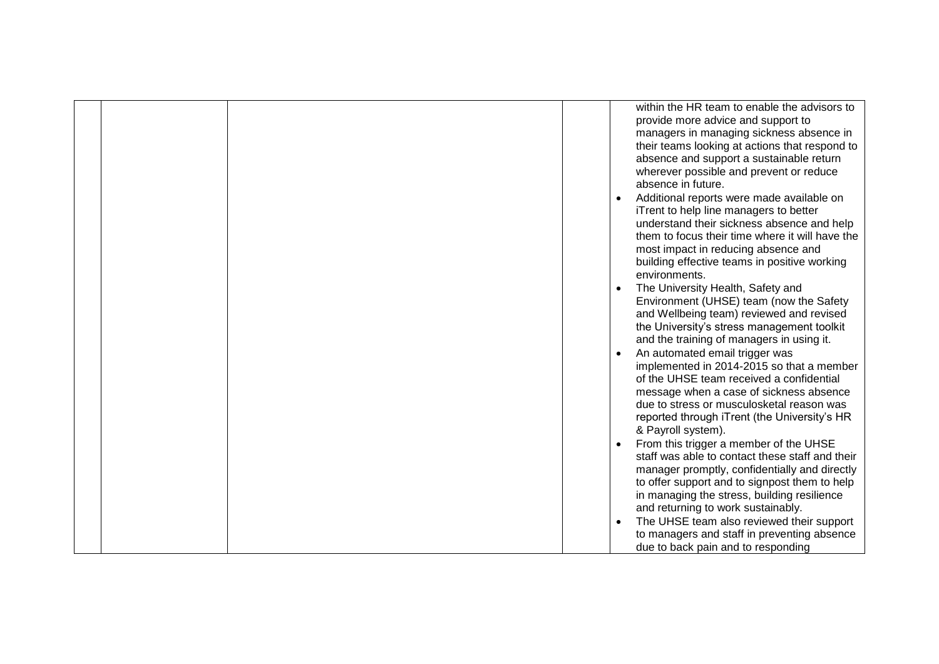|  |  | within the HR team to enable the advisors to    |
|--|--|-------------------------------------------------|
|  |  | provide more advice and support to              |
|  |  | managers in managing sickness absence in        |
|  |  | their teams looking at actions that respond to  |
|  |  | absence and support a sustainable return        |
|  |  | wherever possible and prevent or reduce         |
|  |  | absence in future.                              |
|  |  | Additional reports were made available on       |
|  |  | iTrent to help line managers to better          |
|  |  | understand their sickness absence and help      |
|  |  | them to focus their time where it will have the |
|  |  | most impact in reducing absence and             |
|  |  | building effective teams in positive working    |
|  |  | environments.                                   |
|  |  | The University Health, Safety and               |
|  |  | Environment (UHSE) team (now the Safety         |
|  |  | and Wellbeing team) reviewed and revised        |
|  |  | the University's stress management toolkit      |
|  |  | and the training of managers in using it.       |
|  |  | An automated email trigger was                  |
|  |  | implemented in 2014-2015 so that a member       |
|  |  | of the UHSE team received a confidential        |
|  |  | message when a case of sickness absence         |
|  |  | due to stress or musculosketal reason was       |
|  |  | reported through iTrent (the University's HR    |
|  |  | & Payroll system).                              |
|  |  | From this trigger a member of the UHSE          |
|  |  | staff was able to contact these staff and their |
|  |  | manager promptly, confidentially and directly   |
|  |  | to offer support and to signpost them to help   |
|  |  | in managing the stress, building resilience     |
|  |  | and returning to work sustainably.              |
|  |  | The UHSE team also reviewed their support       |
|  |  | to managers and staff in preventing absence     |
|  |  | due to back pain and to responding              |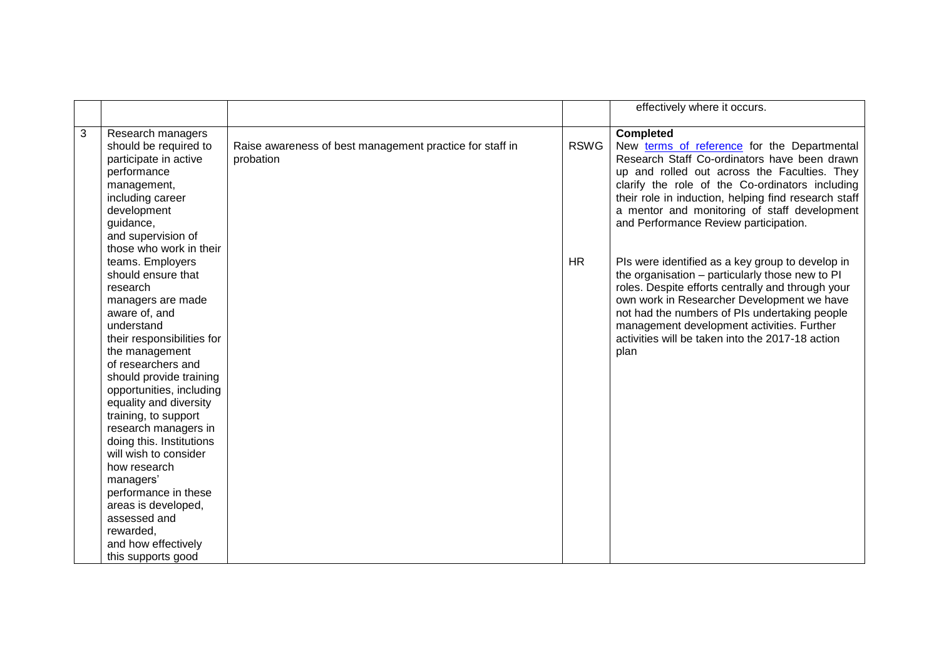|   |                            |                                                          |             | effectively where it occurs.                         |
|---|----------------------------|----------------------------------------------------------|-------------|------------------------------------------------------|
|   |                            |                                                          |             |                                                      |
| 3 | Research managers          |                                                          |             | <b>Completed</b>                                     |
|   | should be required to      | Raise awareness of best management practice for staff in | <b>RSWG</b> | New terms of reference for the Departmental          |
|   | participate in active      | probation                                                |             | Research Staff Co-ordinators have been drawn         |
|   | performance                |                                                          |             | up and rolled out across the Faculties. They         |
|   | management,                |                                                          |             | clarify the role of the Co-ordinators including      |
|   | including career           |                                                          |             | their role in induction, helping find research staff |
|   | development                |                                                          |             | a mentor and monitoring of staff development         |
|   | guidance,                  |                                                          |             | and Performance Review participation.                |
|   | and supervision of         |                                                          |             |                                                      |
|   | those who work in their    |                                                          |             |                                                      |
|   | teams. Employers           |                                                          | <b>HR</b>   | Pls were identified as a key group to develop in     |
|   | should ensure that         |                                                          |             | the organisation - particularly those new to PI      |
|   | research                   |                                                          |             | roles. Despite efforts centrally and through your    |
|   | managers are made          |                                                          |             | own work in Researcher Development we have           |
|   | aware of, and              |                                                          |             | not had the numbers of PIs undertaking people        |
|   | understand                 |                                                          |             | management development activities. Further           |
|   | their responsibilities for |                                                          |             | activities will be taken into the 2017-18 action     |
|   | the management             |                                                          |             | plan                                                 |
|   | of researchers and         |                                                          |             |                                                      |
|   | should provide training    |                                                          |             |                                                      |
|   | opportunities, including   |                                                          |             |                                                      |
|   | equality and diversity     |                                                          |             |                                                      |
|   | training, to support       |                                                          |             |                                                      |
|   | research managers in       |                                                          |             |                                                      |
|   | doing this. Institutions   |                                                          |             |                                                      |
|   | will wish to consider      |                                                          |             |                                                      |
|   | how research               |                                                          |             |                                                      |
|   | managers'                  |                                                          |             |                                                      |
|   | performance in these       |                                                          |             |                                                      |
|   | areas is developed,        |                                                          |             |                                                      |
|   | assessed and               |                                                          |             |                                                      |
|   | rewarded,                  |                                                          |             |                                                      |
|   | and how effectively        |                                                          |             |                                                      |
|   | this supports good         |                                                          |             |                                                      |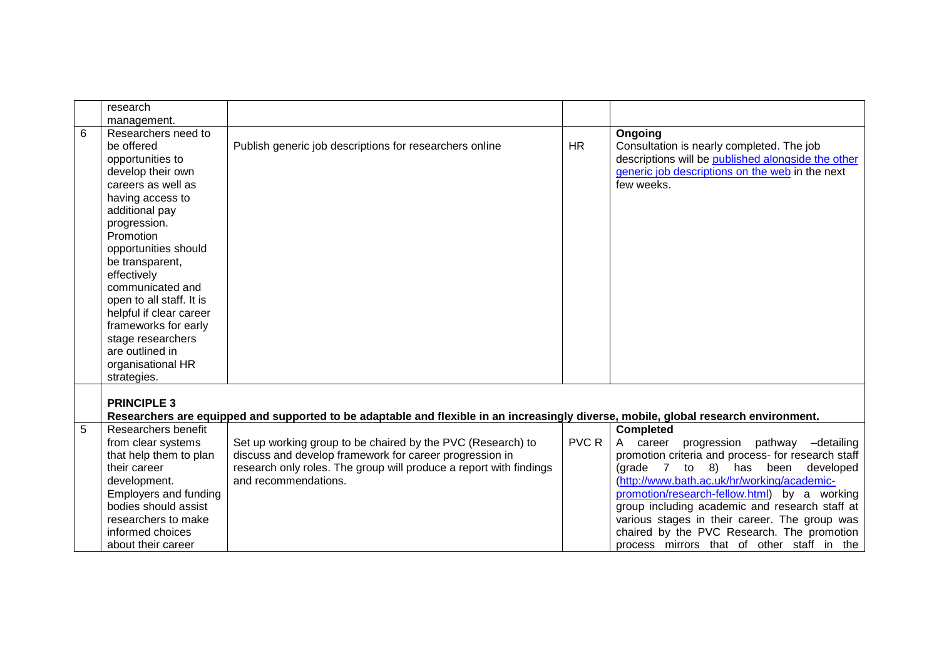|   | research                 |                                                                                                                                      |              |                                                    |
|---|--------------------------|--------------------------------------------------------------------------------------------------------------------------------------|--------------|----------------------------------------------------|
|   | management.              |                                                                                                                                      |              |                                                    |
| 6 | Researchers need to      |                                                                                                                                      |              | Ongoing                                            |
|   | be offered               | Publish generic job descriptions for researchers online                                                                              | <b>HR</b>    | Consultation is nearly completed. The job          |
|   | opportunities to         |                                                                                                                                      |              | descriptions will be published alongside the other |
|   | develop their own        |                                                                                                                                      |              | generic job descriptions on the web in the next    |
|   | careers as well as       |                                                                                                                                      |              | few weeks.                                         |
|   | having access to         |                                                                                                                                      |              |                                                    |
|   | additional pay           |                                                                                                                                      |              |                                                    |
|   | progression.             |                                                                                                                                      |              |                                                    |
|   | Promotion                |                                                                                                                                      |              |                                                    |
|   | opportunities should     |                                                                                                                                      |              |                                                    |
|   | be transparent,          |                                                                                                                                      |              |                                                    |
|   | effectively              |                                                                                                                                      |              |                                                    |
|   | communicated and         |                                                                                                                                      |              |                                                    |
|   | open to all staff. It is |                                                                                                                                      |              |                                                    |
|   | helpful if clear career  |                                                                                                                                      |              |                                                    |
|   | frameworks for early     |                                                                                                                                      |              |                                                    |
|   | stage researchers        |                                                                                                                                      |              |                                                    |
|   | are outlined in          |                                                                                                                                      |              |                                                    |
|   | organisational HR        |                                                                                                                                      |              |                                                    |
|   | strategies.              |                                                                                                                                      |              |                                                    |
|   |                          |                                                                                                                                      |              |                                                    |
|   | <b>PRINCIPLE 3</b>       |                                                                                                                                      |              |                                                    |
|   |                          | Researchers are equipped and supported to be adaptable and flexible in an increasingly diverse, mobile, global research environment. |              |                                                    |
| 5 | Researchers benefit      |                                                                                                                                      |              | <b>Completed</b>                                   |
|   | from clear systems       | Set up working group to be chaired by the PVC (Research) to                                                                          | <b>PVC R</b> | A career progression pathway -detailing            |
|   | that help them to plan   | discuss and develop framework for career progression in                                                                              |              | promotion criteria and process- for research staff |
|   | their career             | research only roles. The group will produce a report with findings                                                                   |              | (grade 7 to 8) has been developed                  |
|   | development.             | and recommendations.                                                                                                                 |              | (http://www.bath.ac.uk/hr/working/academic-        |
|   | Employers and funding    |                                                                                                                                      |              | promotion/research-fellow.html) by a working       |
|   | bodies should assist     |                                                                                                                                      |              | group including academic and research staff at     |
|   | researchers to make      |                                                                                                                                      |              | various stages in their career. The group was      |
|   | informed choices         |                                                                                                                                      |              | chaired by the PVC Research. The promotion         |
|   | about their career       |                                                                                                                                      |              | process mirrors that of other staff in the         |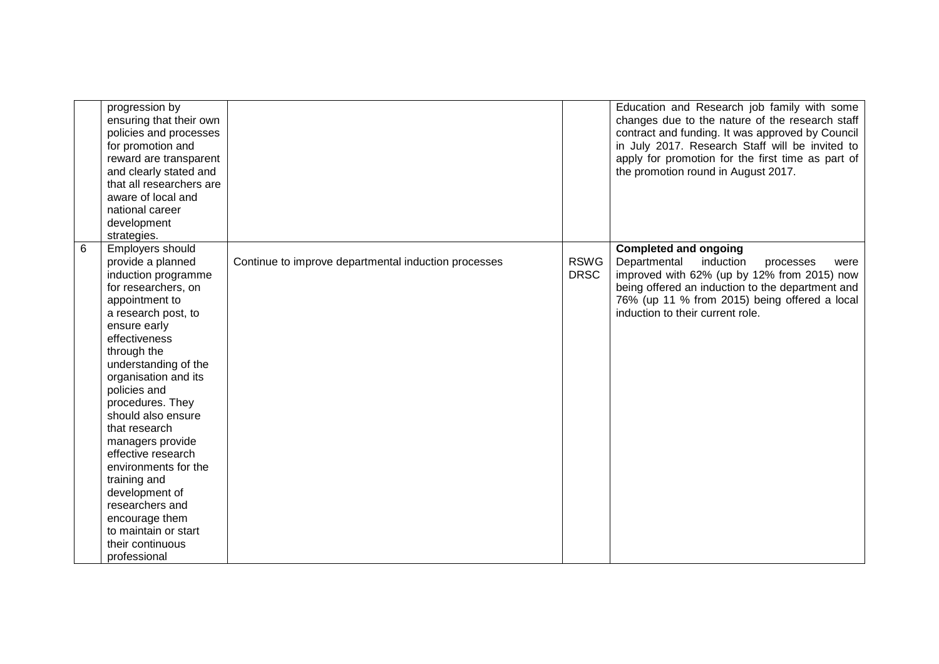|   | progression by<br>ensuring that their own<br>policies and processes<br>for promotion and<br>reward are transparent<br>and clearly stated and<br>that all researchers are<br>aware of local and<br>national career<br>development<br>strategies.                                                                                                                                                                                                                                                              |                                                      |                            | Education and Research job family with some<br>changes due to the nature of the research staff<br>contract and funding. It was approved by Council<br>in July 2017. Research Staff will be invited to<br>apply for promotion for the first time as part of<br>the promotion round in August 2017. |
|---|--------------------------------------------------------------------------------------------------------------------------------------------------------------------------------------------------------------------------------------------------------------------------------------------------------------------------------------------------------------------------------------------------------------------------------------------------------------------------------------------------------------|------------------------------------------------------|----------------------------|---------------------------------------------------------------------------------------------------------------------------------------------------------------------------------------------------------------------------------------------------------------------------------------------------|
| 6 | Employers should<br>provide a planned<br>induction programme<br>for researchers, on<br>appointment to<br>a research post, to<br>ensure early<br>effectiveness<br>through the<br>understanding of the<br>organisation and its<br>policies and<br>procedures. They<br>should also ensure<br>that research<br>managers provide<br>effective research<br>environments for the<br>training and<br>development of<br>researchers and<br>encourage them<br>to maintain or start<br>their continuous<br>professional | Continue to improve departmental induction processes | <b>RSWG</b><br><b>DRSC</b> | <b>Completed and ongoing</b><br>Departmental<br>induction<br>processes<br>were<br>improved with 62% (up by 12% from 2015) now<br>being offered an induction to the department and<br>76% (up 11 % from 2015) being offered a local<br>induction to their current role.                            |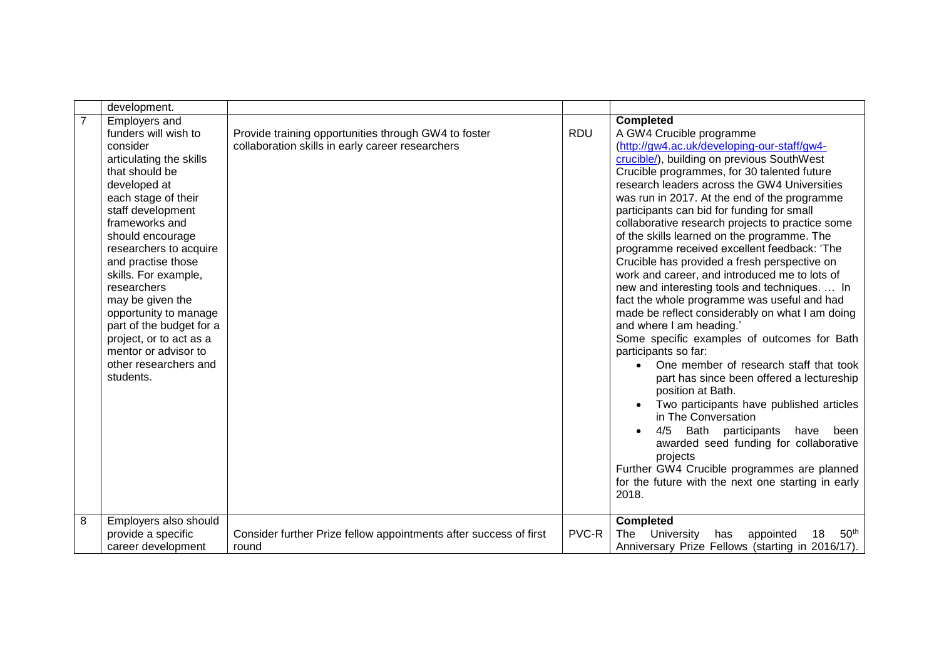| $\overline{7}$ | <b>Employers and</b><br>funders will wish to<br>consider                                                                                                                                                                                                                                                                                                                                                                      | Provide training opportunities through GW4 to foster                       |            | <b>Completed</b>                                                                                                                                                                                                                                                                                                                                                                                                                                                                                                                                                                                                                                                                                                                                                                                                                                                                                                                                                                                                                                                                                                                                                                                                                                 |
|----------------|-------------------------------------------------------------------------------------------------------------------------------------------------------------------------------------------------------------------------------------------------------------------------------------------------------------------------------------------------------------------------------------------------------------------------------|----------------------------------------------------------------------------|------------|--------------------------------------------------------------------------------------------------------------------------------------------------------------------------------------------------------------------------------------------------------------------------------------------------------------------------------------------------------------------------------------------------------------------------------------------------------------------------------------------------------------------------------------------------------------------------------------------------------------------------------------------------------------------------------------------------------------------------------------------------------------------------------------------------------------------------------------------------------------------------------------------------------------------------------------------------------------------------------------------------------------------------------------------------------------------------------------------------------------------------------------------------------------------------------------------------------------------------------------------------|
| 8              | articulating the skills<br>that should be<br>developed at<br>each stage of their<br>staff development<br>frameworks and<br>should encourage<br>researchers to acquire<br>and practise those<br>skills. For example,<br>researchers<br>may be given the<br>opportunity to manage<br>part of the budget for a<br>project, or to act as a<br>mentor or advisor to<br>other researchers and<br>students.<br>Employers also should | collaboration skills in early career researchers                           | <b>RDU</b> | A GW4 Crucible programme<br>(http://gw4.ac.uk/developing-our-staff/gw4-<br>crucible/), building on previous SouthWest<br>Crucible programmes, for 30 talented future<br>research leaders across the GW4 Universities<br>was run in 2017. At the end of the programme<br>participants can bid for funding for small<br>collaborative research projects to practice some<br>of the skills learned on the programme. The<br>programme received excellent feedback: 'The<br>Crucible has provided a fresh perspective on<br>work and career, and introduced me to lots of<br>new and interesting tools and techniques.  In<br>fact the whole programme was useful and had<br>made be reflect considerably on what I am doing<br>and where I am heading.'<br>Some specific examples of outcomes for Bath<br>participants so far:<br>• One member of research staff that took<br>part has since been offered a lectureship<br>position at Bath.<br>Two participants have published articles<br>in The Conversation<br>Bath participants<br>4/5<br>have<br>been<br>awarded seed funding for collaborative<br>projects<br>Further GW4 Crucible programmes are planned<br>for the future with the next one starting in early<br>2018.<br><b>Completed</b> |
|                | provide a specific<br>career development                                                                                                                                                                                                                                                                                                                                                                                      | Consider further Prize fellow appointments after success of first<br>round | PVC-R      | University<br>18<br>50 <sup>th</sup><br>The<br>has<br>appointed<br>Anniversary Prize Fellows (starting in 2016/17).                                                                                                                                                                                                                                                                                                                                                                                                                                                                                                                                                                                                                                                                                                                                                                                                                                                                                                                                                                                                                                                                                                                              |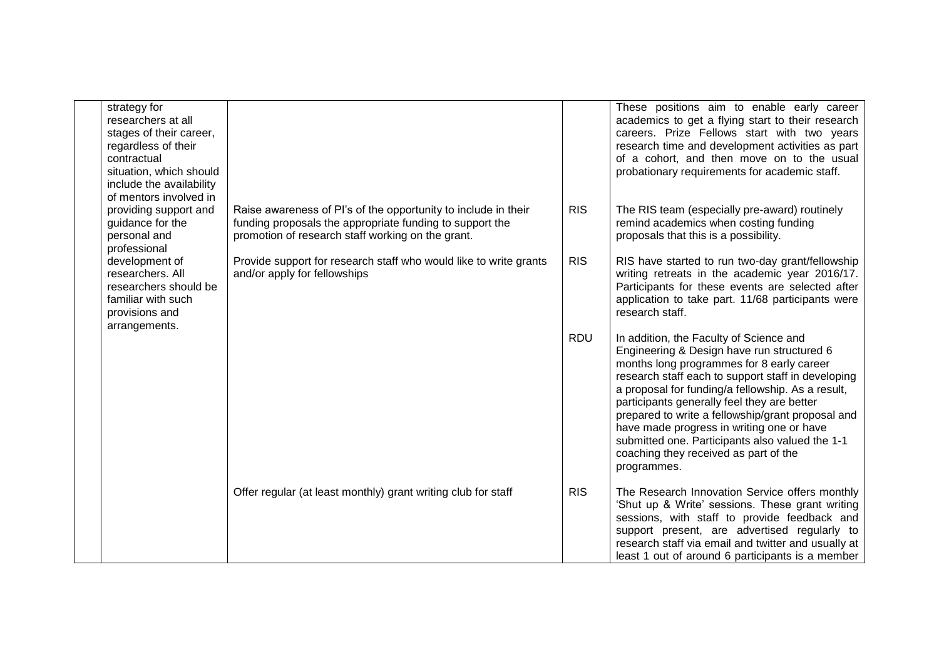| strategy for<br>researchers at all<br>stages of their career,<br>regardless of their<br>contractual<br>situation, which should<br>include the availability<br>of mentors involved in |                                                                                                                                                                                 |            | These positions aim to enable early career<br>academics to get a flying start to their research<br>careers. Prize Fellows start with two years<br>research time and development activities as part<br>of a cohort, and then move on to the usual<br>probationary requirements for academic staff.                                                                                                                                                                                                         |
|--------------------------------------------------------------------------------------------------------------------------------------------------------------------------------------|---------------------------------------------------------------------------------------------------------------------------------------------------------------------------------|------------|-----------------------------------------------------------------------------------------------------------------------------------------------------------------------------------------------------------------------------------------------------------------------------------------------------------------------------------------------------------------------------------------------------------------------------------------------------------------------------------------------------------|
| providing support and<br>guidance for the<br>personal and<br>professional                                                                                                            | Raise awareness of PI's of the opportunity to include in their<br>funding proposals the appropriate funding to support the<br>promotion of research staff working on the grant. | <b>RIS</b> | The RIS team (especially pre-award) routinely<br>remind academics when costing funding<br>proposals that this is a possibility.                                                                                                                                                                                                                                                                                                                                                                           |
| development of<br>researchers. All<br>researchers should be<br>familiar with such<br>provisions and<br>arrangements.                                                                 | Provide support for research staff who would like to write grants<br>and/or apply for fellowships                                                                               | <b>RIS</b> | RIS have started to run two-day grant/fellowship<br>writing retreats in the academic year 2016/17.<br>Participants for these events are selected after<br>application to take part. 11/68 participants were<br>research staff.                                                                                                                                                                                                                                                                            |
|                                                                                                                                                                                      |                                                                                                                                                                                 | <b>RDU</b> | In addition, the Faculty of Science and<br>Engineering & Design have run structured 6<br>months long programmes for 8 early career<br>research staff each to support staff in developing<br>a proposal for funding/a fellowship. As a result,<br>participants generally feel they are better<br>prepared to write a fellowship/grant proposal and<br>have made progress in writing one or have<br>submitted one. Participants also valued the 1-1<br>coaching they received as part of the<br>programmes. |
|                                                                                                                                                                                      | Offer regular (at least monthly) grant writing club for staff                                                                                                                   | <b>RIS</b> | The Research Innovation Service offers monthly<br>'Shut up & Write' sessions. These grant writing<br>sessions, with staff to provide feedback and<br>support present, are advertised regularly to<br>research staff via email and twitter and usually at<br>least 1 out of around 6 participants is a member                                                                                                                                                                                              |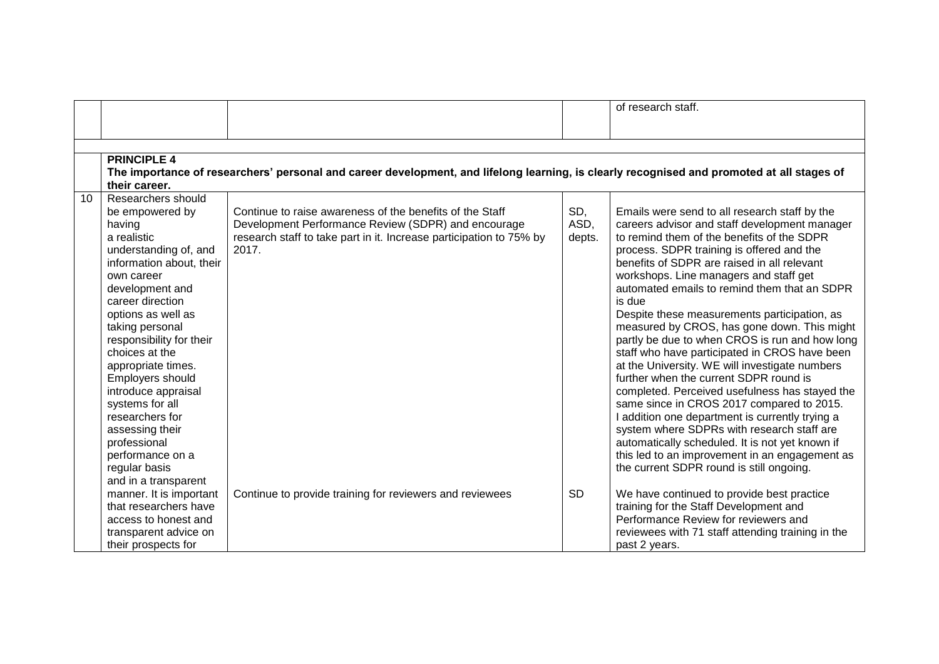|                    |                                                                                                                                                                                                                                                                                                                                                                                                                                                                                                                                                        |                                                                                                                                          | of research staff.                                                                                                                                              |
|--------------------|--------------------------------------------------------------------------------------------------------------------------------------------------------------------------------------------------------------------------------------------------------------------------------------------------------------------------------------------------------------------------------------------------------------------------------------------------------------------------------------------------------------------------------------------------------|------------------------------------------------------------------------------------------------------------------------------------------|-----------------------------------------------------------------------------------------------------------------------------------------------------------------|
|                    |                                                                                                                                                                                                                                                                                                                                                                                                                                                                                                                                                        |                                                                                                                                          |                                                                                                                                                                 |
|                    |                                                                                                                                                                                                                                                                                                                                                                                                                                                                                                                                                        |                                                                                                                                          |                                                                                                                                                                 |
|                    |                                                                                                                                                                                                                                                                                                                                                                                                                                                                                                                                                        |                                                                                                                                          |                                                                                                                                                                 |
|                    |                                                                                                                                                                                                                                                                                                                                                                                                                                                                                                                                                        |                                                                                                                                          |                                                                                                                                                                 |
| their career.      |                                                                                                                                                                                                                                                                                                                                                                                                                                                                                                                                                        |                                                                                                                                          |                                                                                                                                                                 |
| Researchers should |                                                                                                                                                                                                                                                                                                                                                                                                                                                                                                                                                        |                                                                                                                                          |                                                                                                                                                                 |
| be empowered by    | Continue to raise awareness of the benefits of the Staff                                                                                                                                                                                                                                                                                                                                                                                                                                                                                               | SD,                                                                                                                                      | Emails were send to all research staff by the                                                                                                                   |
| having             | Development Performance Review (SDPR) and encourage                                                                                                                                                                                                                                                                                                                                                                                                                                                                                                    |                                                                                                                                          | careers advisor and staff development manager                                                                                                                   |
| a realistic        |                                                                                                                                                                                                                                                                                                                                                                                                                                                                                                                                                        | depts.                                                                                                                                   | to remind them of the benefits of the SDPR                                                                                                                      |
|                    |                                                                                                                                                                                                                                                                                                                                                                                                                                                                                                                                                        |                                                                                                                                          | process. SDPR training is offered and the                                                                                                                       |
|                    |                                                                                                                                                                                                                                                                                                                                                                                                                                                                                                                                                        |                                                                                                                                          | benefits of SDPR are raised in all relevant                                                                                                                     |
|                    |                                                                                                                                                                                                                                                                                                                                                                                                                                                                                                                                                        |                                                                                                                                          | workshops. Line managers and staff get                                                                                                                          |
|                    |                                                                                                                                                                                                                                                                                                                                                                                                                                                                                                                                                        |                                                                                                                                          | automated emails to remind them that an SDPR                                                                                                                    |
|                    |                                                                                                                                                                                                                                                                                                                                                                                                                                                                                                                                                        |                                                                                                                                          | is due                                                                                                                                                          |
|                    |                                                                                                                                                                                                                                                                                                                                                                                                                                                                                                                                                        |                                                                                                                                          | Despite these measurements participation, as                                                                                                                    |
|                    |                                                                                                                                                                                                                                                                                                                                                                                                                                                                                                                                                        |                                                                                                                                          | measured by CROS, has gone down. This might                                                                                                                     |
|                    |                                                                                                                                                                                                                                                                                                                                                                                                                                                                                                                                                        |                                                                                                                                          | partly be due to when CROS is run and how long                                                                                                                  |
|                    |                                                                                                                                                                                                                                                                                                                                                                                                                                                                                                                                                        |                                                                                                                                          | staff who have participated in CROS have been                                                                                                                   |
|                    |                                                                                                                                                                                                                                                                                                                                                                                                                                                                                                                                                        |                                                                                                                                          | at the University. WE will investigate numbers                                                                                                                  |
|                    |                                                                                                                                                                                                                                                                                                                                                                                                                                                                                                                                                        |                                                                                                                                          | further when the current SDPR round is                                                                                                                          |
|                    |                                                                                                                                                                                                                                                                                                                                                                                                                                                                                                                                                        |                                                                                                                                          | completed. Perceived usefulness has stayed the                                                                                                                  |
|                    |                                                                                                                                                                                                                                                                                                                                                                                                                                                                                                                                                        |                                                                                                                                          | same since in CROS 2017 compared to 2015.                                                                                                                       |
|                    |                                                                                                                                                                                                                                                                                                                                                                                                                                                                                                                                                        |                                                                                                                                          | I addition one department is currently trying a                                                                                                                 |
|                    |                                                                                                                                                                                                                                                                                                                                                                                                                                                                                                                                                        |                                                                                                                                          | system where SDPRs with research staff are                                                                                                                      |
|                    |                                                                                                                                                                                                                                                                                                                                                                                                                                                                                                                                                        |                                                                                                                                          | automatically scheduled. It is not yet known if                                                                                                                 |
|                    |                                                                                                                                                                                                                                                                                                                                                                                                                                                                                                                                                        |                                                                                                                                          | this led to an improvement in an engagement as                                                                                                                  |
|                    |                                                                                                                                                                                                                                                                                                                                                                                                                                                                                                                                                        |                                                                                                                                          | the current SDPR round is still ongoing.                                                                                                                        |
|                    |                                                                                                                                                                                                                                                                                                                                                                                                                                                                                                                                                        |                                                                                                                                          | We have continued to provide best practice                                                                                                                      |
|                    |                                                                                                                                                                                                                                                                                                                                                                                                                                                                                                                                                        |                                                                                                                                          | training for the Staff Development and                                                                                                                          |
|                    |                                                                                                                                                                                                                                                                                                                                                                                                                                                                                                                                                        |                                                                                                                                          | Performance Review for reviewers and                                                                                                                            |
|                    |                                                                                                                                                                                                                                                                                                                                                                                                                                                                                                                                                        |                                                                                                                                          | reviewees with 71 staff attending training in the                                                                                                               |
|                    |                                                                                                                                                                                                                                                                                                                                                                                                                                                                                                                                                        |                                                                                                                                          | past 2 years.                                                                                                                                                   |
|                    | <b>PRINCIPLE 4</b><br>understanding of, and<br>information about, their<br>own career<br>development and<br>career direction<br>options as well as<br>taking personal<br>responsibility for their<br>choices at the<br>appropriate times.<br>Employers should<br>introduce appraisal<br>systems for all<br>researchers for<br>assessing their<br>professional<br>performance on a<br>regular basis<br>and in a transparent<br>manner. It is important<br>that researchers have<br>access to honest and<br>transparent advice on<br>their prospects for | research staff to take part in it. Increase participation to 75% by<br>2017.<br>Continue to provide training for reviewers and reviewees | The importance of researchers' personal and career development, and lifelong learning, is clearly recognised and promoted at all stages of<br>ASD,<br><b>SD</b> |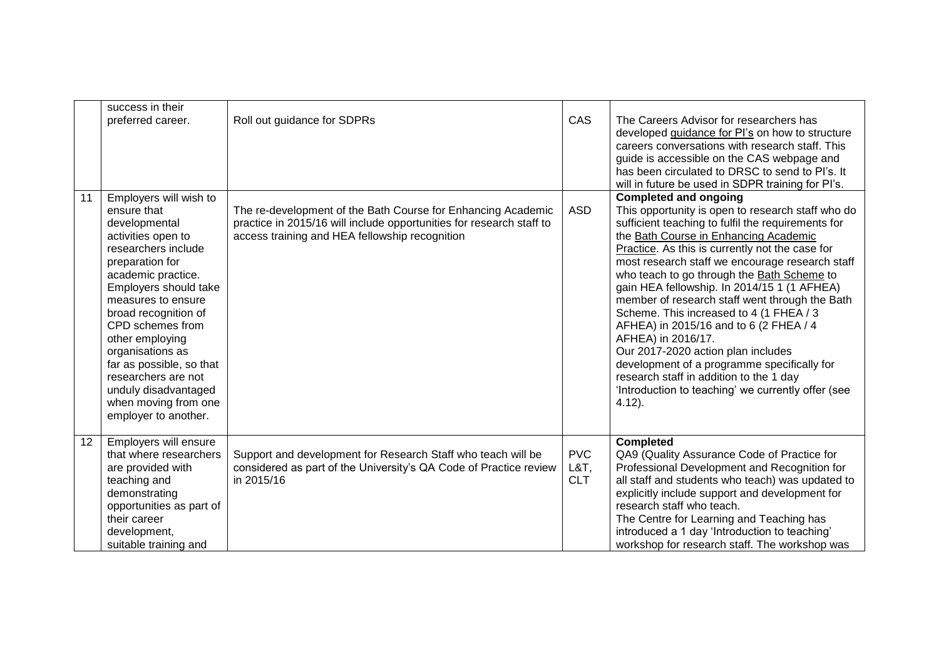|    | success in their<br>preferred career.                                                                                                                                                                                                                                                                                                                                                                     | Roll out guidance for SDPRs                                                                                                                                                            | CAS                                 | The Careers Advisor for researchers has<br>developed guidance for PI's on how to structure<br>careers conversations with research staff. This<br>guide is accessible on the CAS webpage and<br>has been circulated to DRSC to send to PI's. It<br>will in future be used in SDPR training for PI's.                                                                                                                                                                                                                                                                                                                                                                                                                                                 |
|----|-----------------------------------------------------------------------------------------------------------------------------------------------------------------------------------------------------------------------------------------------------------------------------------------------------------------------------------------------------------------------------------------------------------|----------------------------------------------------------------------------------------------------------------------------------------------------------------------------------------|-------------------------------------|-----------------------------------------------------------------------------------------------------------------------------------------------------------------------------------------------------------------------------------------------------------------------------------------------------------------------------------------------------------------------------------------------------------------------------------------------------------------------------------------------------------------------------------------------------------------------------------------------------------------------------------------------------------------------------------------------------------------------------------------------------|
| 11 | Employers will wish to<br>ensure that<br>developmental<br>activities open to<br>researchers include<br>preparation for<br>academic practice.<br>Employers should take<br>measures to ensure<br>broad recognition of<br>CPD schemes from<br>other employing<br>organisations as<br>far as possible, so that<br>researchers are not<br>unduly disadvantaged<br>when moving from one<br>employer to another. | The re-development of the Bath Course for Enhancing Academic<br>practice in 2015/16 will include opportunities for research staff to<br>access training and HEA fellowship recognition | <b>ASD</b>                          | <b>Completed and ongoing</b><br>This opportunity is open to research staff who do<br>sufficient teaching to fulfil the requirements for<br>the Bath Course in Enhancing Academic<br>Practice. As this is currently not the case for<br>most research staff we encourage research staff<br>who teach to go through the Bath Scheme to<br>gain HEA fellowship. In 2014/15 1 (1 AFHEA)<br>member of research staff went through the Bath<br>Scheme. This increased to 4 (1 FHEA / 3<br>AFHEA) in 2015/16 and to 6 (2 FHEA / 4<br>AFHEA) in 2016/17.<br>Our 2017-2020 action plan includes<br>development of a programme specifically for<br>research staff in addition to the 1 day<br>'Introduction to teaching' we currently offer (see<br>$4.12$ ). |
| 12 | Employers will ensure<br>that where researchers<br>are provided with<br>teaching and<br>demonstrating<br>opportunities as part of<br>their career<br>development,<br>suitable training and                                                                                                                                                                                                                | Support and development for Research Staff who teach will be<br>considered as part of the University's QA Code of Practice review<br>in 2015/16                                        | <b>PVC</b><br>$L&T$ ,<br><b>CLT</b> | <b>Completed</b><br>QA9 (Quality Assurance Code of Practice for<br>Professional Development and Recognition for<br>all staff and students who teach) was updated to<br>explicitly include support and development for<br>research staff who teach.<br>The Centre for Learning and Teaching has<br>introduced a 1 day 'Introduction to teaching'<br>workshop for research staff. The workshop was                                                                                                                                                                                                                                                                                                                                                    |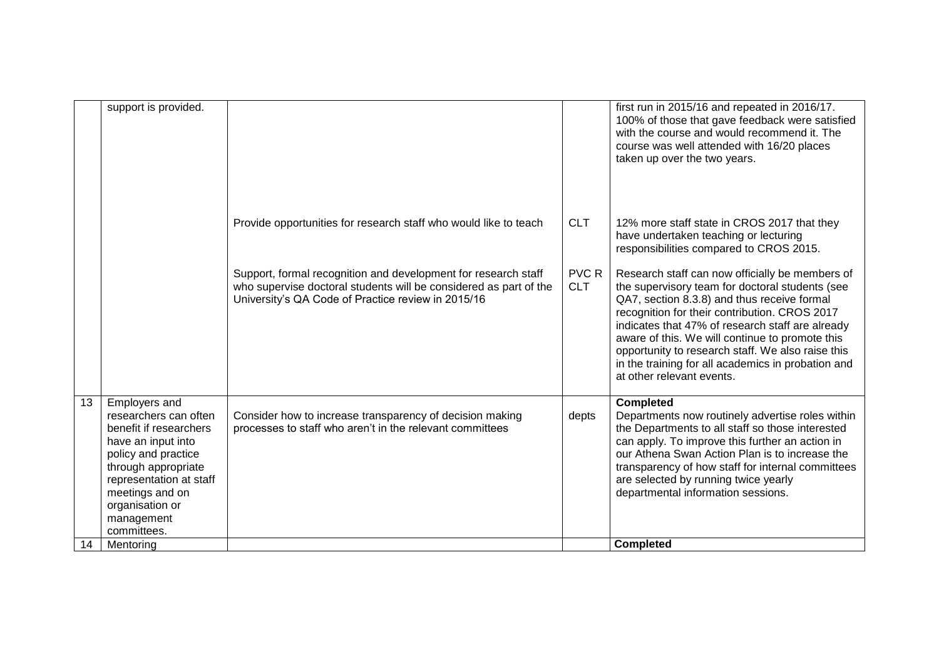|    | support is provided.                                                                                                                                                                                                               |                                                                                                                                                                                           |                     | first run in 2015/16 and repeated in 2016/17.<br>100% of those that gave feedback were satisfied<br>with the course and would recommend it. The<br>course was well attended with 16/20 places<br>taken up over the two years.                                                                                                                                                                                                                     |
|----|------------------------------------------------------------------------------------------------------------------------------------------------------------------------------------------------------------------------------------|-------------------------------------------------------------------------------------------------------------------------------------------------------------------------------------------|---------------------|---------------------------------------------------------------------------------------------------------------------------------------------------------------------------------------------------------------------------------------------------------------------------------------------------------------------------------------------------------------------------------------------------------------------------------------------------|
|    |                                                                                                                                                                                                                                    | Provide opportunities for research staff who would like to teach                                                                                                                          | <b>CLT</b>          | 12% more staff state in CROS 2017 that they<br>have undertaken teaching or lecturing<br>responsibilities compared to CROS 2015.                                                                                                                                                                                                                                                                                                                   |
|    |                                                                                                                                                                                                                                    | Support, formal recognition and development for research staff<br>who supervise doctoral students will be considered as part of the<br>University's QA Code of Practice review in 2015/16 | PVC R<br><b>CLT</b> | Research staff can now officially be members of<br>the supervisory team for doctoral students (see<br>QA7, section 8.3.8) and thus receive formal<br>recognition for their contribution. CROS 2017<br>indicates that 47% of research staff are already<br>aware of this. We will continue to promote this<br>opportunity to research staff. We also raise this<br>in the training for all academics in probation and<br>at other relevant events. |
| 13 | Employers and<br>researchers can often<br>benefit if researchers<br>have an input into<br>policy and practice<br>through appropriate<br>representation at staff<br>meetings and on<br>organisation or<br>management<br>committees. | Consider how to increase transparency of decision making<br>processes to staff who aren't in the relevant committees                                                                      | depts               | <b>Completed</b><br>Departments now routinely advertise roles within<br>the Departments to all staff so those interested<br>can apply. To improve this further an action in<br>our Athena Swan Action Plan is to increase the<br>transparency of how staff for internal committees<br>are selected by running twice yearly<br>departmental information sessions.                                                                                  |
| 14 | Mentoring                                                                                                                                                                                                                          |                                                                                                                                                                                           |                     | <b>Completed</b>                                                                                                                                                                                                                                                                                                                                                                                                                                  |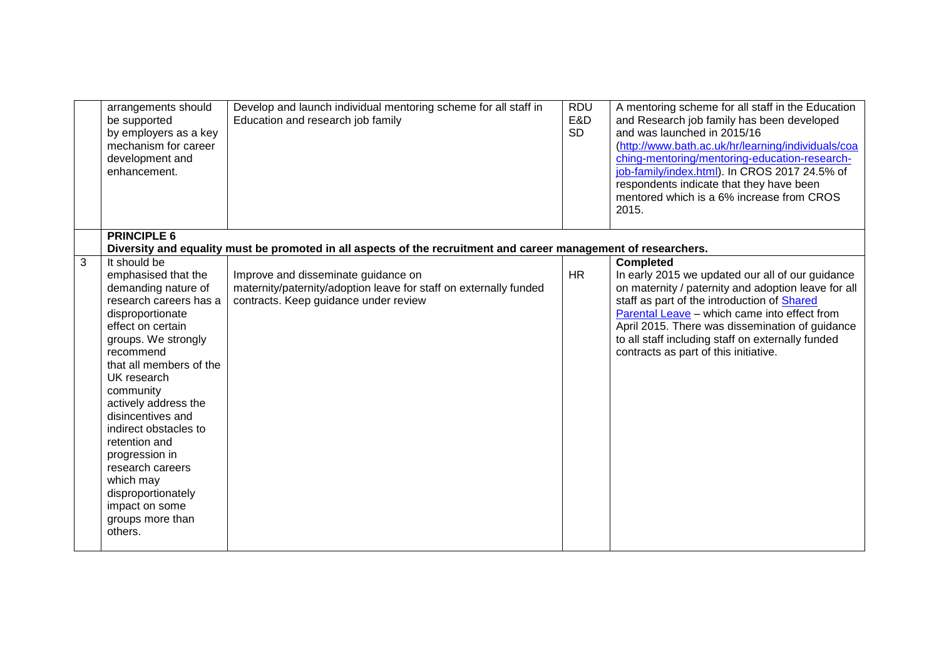|                | arrangements should<br>be supported<br>by employers as a key<br>mechanism for career<br>development and<br>enhancement.                                                                                                                                                                                                                                                                                                   | Develop and launch individual mentoring scheme for all staff in<br>Education and research job family                                              | <b>RDU</b><br>E&D<br><b>SD</b> | A mentoring scheme for all staff in the Education<br>and Research job family has been developed<br>and was launched in 2015/16<br>(http://www.bath.ac.uk/hr/learning/individuals/coa<br>ching-mentoring/mentoring-education-research-<br>job-family/index.html). In CROS 2017 24.5% of<br>respondents indicate that they have been<br>mentored which is a 6% increase from CROS<br>2015. |
|----------------|---------------------------------------------------------------------------------------------------------------------------------------------------------------------------------------------------------------------------------------------------------------------------------------------------------------------------------------------------------------------------------------------------------------------------|---------------------------------------------------------------------------------------------------------------------------------------------------|--------------------------------|------------------------------------------------------------------------------------------------------------------------------------------------------------------------------------------------------------------------------------------------------------------------------------------------------------------------------------------------------------------------------------------|
|                | <b>PRINCIPLE 6</b>                                                                                                                                                                                                                                                                                                                                                                                                        | Diversity and equality must be promoted in all aspects of the recruitment and career management of researchers.                                   |                                |                                                                                                                                                                                                                                                                                                                                                                                          |
| $\overline{3}$ | It should be                                                                                                                                                                                                                                                                                                                                                                                                              |                                                                                                                                                   |                                | <b>Completed</b>                                                                                                                                                                                                                                                                                                                                                                         |
|                | emphasised that the<br>demanding nature of<br>research careers has a<br>disproportionate<br>effect on certain<br>groups. We strongly<br>recommend<br>that all members of the<br>UK research<br>community<br>actively address the<br>disincentives and<br>indirect obstacles to<br>retention and<br>progression in<br>research careers<br>which may<br>disproportionately<br>impact on some<br>groups more than<br>others. | Improve and disseminate guidance on<br>maternity/paternity/adoption leave for staff on externally funded<br>contracts. Keep guidance under review | <b>HR</b>                      | In early 2015 we updated our all of our guidance<br>on maternity / paternity and adoption leave for all<br>staff as part of the introduction of Shared<br>Parental Leave - which came into effect from<br>April 2015. There was dissemination of guidance<br>to all staff including staff on externally funded<br>contracts as part of this initiative.                                  |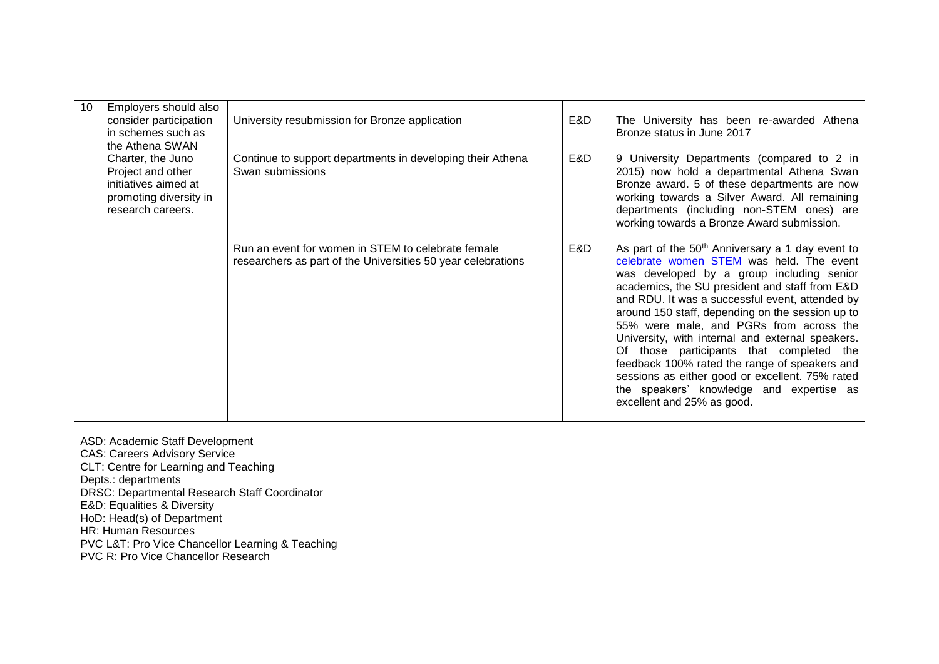| 10 | Employers should also                                                                                         |                                                                                                                    |     |                                                                                                                                                                                                                                                                                                                                                                                                                                                                                                                                                                                                                                         |
|----|---------------------------------------------------------------------------------------------------------------|--------------------------------------------------------------------------------------------------------------------|-----|-----------------------------------------------------------------------------------------------------------------------------------------------------------------------------------------------------------------------------------------------------------------------------------------------------------------------------------------------------------------------------------------------------------------------------------------------------------------------------------------------------------------------------------------------------------------------------------------------------------------------------------------|
|    | consider participation<br>in schemes such as                                                                  | University resubmission for Bronze application                                                                     | E&D | The University has been re-awarded Athena<br>Bronze status in June 2017                                                                                                                                                                                                                                                                                                                                                                                                                                                                                                                                                                 |
|    | the Athena SWAN                                                                                               |                                                                                                                    |     |                                                                                                                                                                                                                                                                                                                                                                                                                                                                                                                                                                                                                                         |
|    | Charter, the Juno<br>Project and other<br>initiatives aimed at<br>promoting diversity in<br>research careers. | Continue to support departments in developing their Athena<br>Swan submissions                                     | E&D | 9 University Departments (compared to 2 in<br>2015) now hold a departmental Athena Swan<br>Bronze award. 5 of these departments are now<br>working towards a Silver Award. All remaining<br>departments (including non-STEM ones) are<br>working towards a Bronze Award submission.                                                                                                                                                                                                                                                                                                                                                     |
|    |                                                                                                               | Run an event for women in STEM to celebrate female<br>researchers as part of the Universities 50 year celebrations | E&D | As part of the 50 <sup>th</sup> Anniversary a 1 day event to<br>celebrate women STEM was held. The event<br>was developed by a group including senior<br>academics, the SU president and staff from E&D<br>and RDU. It was a successful event, attended by<br>around 150 staff, depending on the session up to<br>55% were male, and PGRs from across the<br>University, with internal and external speakers.<br>Of those participants that completed the<br>feedback 100% rated the range of speakers and<br>sessions as either good or excellent. 75% rated<br>the speakers' knowledge and expertise as<br>excellent and 25% as good. |

- ASD: Academic Staff Development
- CAS: Careers Advisory Service
- CLT: Centre for Learning and Teaching
- Depts.: departments
- DRSC: Departmental Research Staff Coordinator
- E&D: Equalities & Diversity
- HoD: Head(s) of Department
- HR: Human Resources
- PVC L&T: Pro Vice Chancellor Learning & Teaching
- PVC R: Pro Vice Chancellor Research